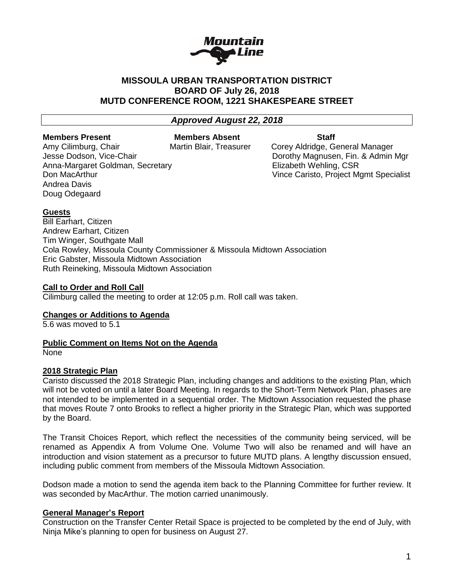

# **MISSOULA URBAN TRANSPORTATION DISTRICT BOARD OF July 26, 2018 MUTD CONFERENCE ROOM, 1221 SHAKESPEARE STREET**

## *Approved August 22, 2018*

#### **Members Present Members Absent Staff**

Amy Cilimburg, Chair **Martin Blair, Treasurer** Corey Aldridge, General Manager Anna-Margaret Goldman, Secretary **Elizabeth Wehling, CSR** Andrea Davis Doug Odegaard

Jesse Dodson, Vice-Chair **Domestian Construction Construction** Dorothy Magnusen, Fin. & Admin Mgr Don MacArthur Vince Caristo, Project Mgmt Specialist

### **Guests**

Bill Earhart, Citizen Andrew Earhart, Citizen Tim Winger, Southgate Mall Cola Rowley, Missoula County Commissioner & Missoula Midtown Association Eric Gabster, Missoula Midtown Association Ruth Reineking, Missoula Midtown Association

### **Call to Order and Roll Call**

Cilimburg called the meeting to order at 12:05 p.m. Roll call was taken.

# **Changes or Additions to Agenda**

5.6 was moved to 5.1

## **Public Comment on Items Not on the Agenda**

None

## **2018 Strategic Plan**

Caristo discussed the 2018 Strategic Plan, including changes and additions to the existing Plan, which will not be voted on until a later Board Meeting. In regards to the Short-Term Network Plan, phases are not intended to be implemented in a sequential order. The Midtown Association requested the phase that moves Route 7 onto Brooks to reflect a higher priority in the Strategic Plan, which was supported by the Board.

The Transit Choices Report, which reflect the necessities of the community being serviced, will be renamed as Appendix A from Volume One. Volume Two will also be renamed and will have an introduction and vision statement as a precursor to future MUTD plans. A lengthy discussion ensued, including public comment from members of the Missoula Midtown Association.

Dodson made a motion to send the agenda item back to the Planning Committee for further review. It was seconded by MacArthur. The motion carried unanimously.

#### **General Manager's Report**

Construction on the Transfer Center Retail Space is projected to be completed by the end of July, with Ninja Mike's planning to open for business on August 27.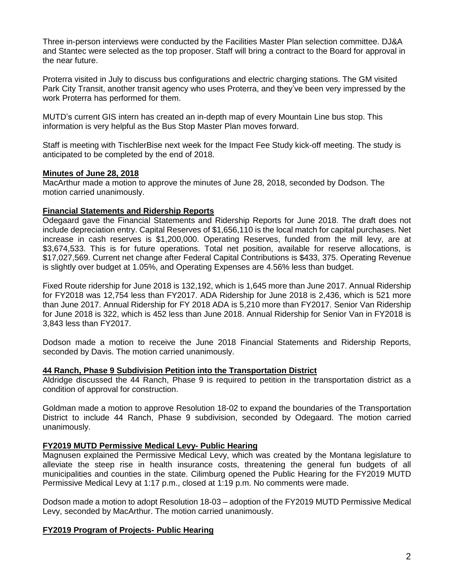Three in-person interviews were conducted by the Facilities Master Plan selection committee. DJ&A and Stantec were selected as the top proposer. Staff will bring a contract to the Board for approval in the near future.

Proterra visited in July to discuss bus configurations and electric charging stations. The GM visited Park City Transit, another transit agency who uses Proterra, and they've been very impressed by the work Proterra has performed for them.

MUTD's current GIS intern has created an in-depth map of every Mountain Line bus stop. This information is very helpful as the Bus Stop Master Plan moves forward.

Staff is meeting with TischlerBise next week for the Impact Fee Study kick-off meeting. The study is anticipated to be completed by the end of 2018.

### **Minutes of June 28, 2018**

MacArthur made a motion to approve the minutes of June 28, 2018, seconded by Dodson. The motion carried unanimously.

## **Financial Statements and Ridership Reports**

Odegaard gave the Financial Statements and Ridership Reports for June 2018. The draft does not include depreciation entry. Capital Reserves of \$1,656,110 is the local match for capital purchases. Net increase in cash reserves is \$1,200,000. Operating Reserves, funded from the mill levy, are at \$3,674,533. This is for future operations. Total net position, available for reserve allocations, is \$17,027,569. Current net change after Federal Capital Contributions is \$433, 375. Operating Revenue is slightly over budget at 1.05%, and Operating Expenses are 4.56% less than budget.

Fixed Route ridership for June 2018 is 132,192, which is 1,645 more than June 2017. Annual Ridership for FY2018 was 12,754 less than FY2017. ADA Ridership for June 2018 is 2,436, which is 521 more than June 2017. Annual Ridership for FY 2018 ADA is 5,210 more than FY2017. Senior Van Ridership for June 2018 is 322, which is 452 less than June 2018. Annual Ridership for Senior Van in FY2018 is 3,843 less than FY2017.

Dodson made a motion to receive the June 2018 Financial Statements and Ridership Reports, seconded by Davis. The motion carried unanimously.

#### **44 Ranch, Phase 9 Subdivision Petition into the Transportation District**

Aldridge discussed the 44 Ranch, Phase 9 is required to petition in the transportation district as a condition of approval for construction.

Goldman made a motion to approve Resolution 18-02 to expand the boundaries of the Transportation District to include 44 Ranch, Phase 9 subdivision, seconded by Odegaard. The motion carried unanimously.

## **FY2019 MUTD Permissive Medical Levy- Public Hearing**

Magnusen explained the Permissive Medical Levy, which was created by the Montana legislature to alleviate the steep rise in health insurance costs, threatening the general fun budgets of all municipalities and counties in the state. Cilimburg opened the Public Hearing for the FY2019 MUTD Permissive Medical Levy at 1:17 p.m., closed at 1:19 p.m. No comments were made.

Dodson made a motion to adopt Resolution 18-03 – adoption of the FY2019 MUTD Permissive Medical Levy, seconded by MacArthur. The motion carried unanimously.

## **FY2019 Program of Projects- Public Hearing**